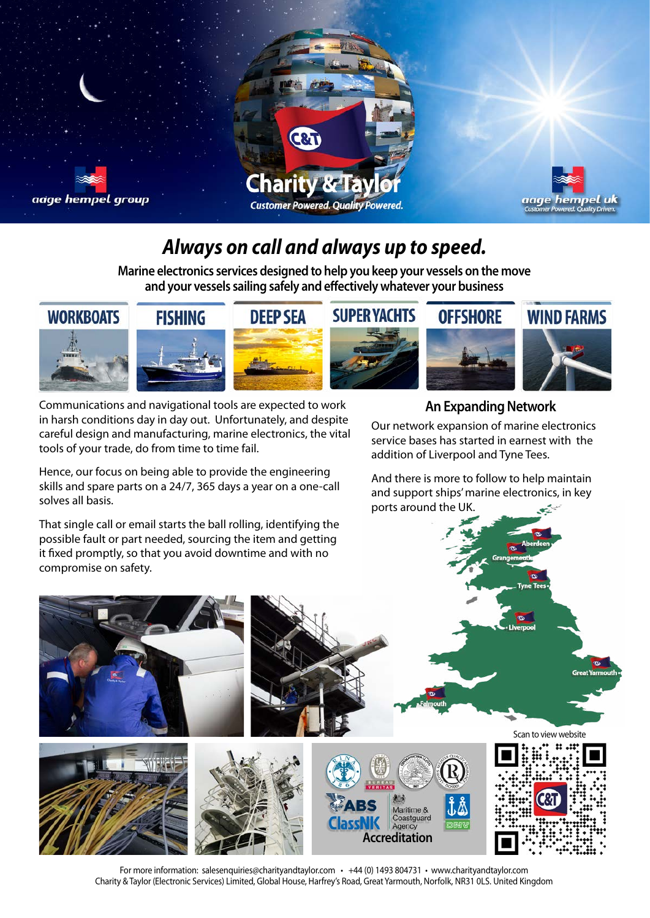

# *Always on call and always up to speed.*

**Marine electronics services designed to help you keep your vessels on the move and your vessels sailing safely and effectively whatever your business**



Communications and navigational tools are expected to work in harsh conditions day in day out. Unfortunately, and despite careful design and manufacturing, marine electronics, the vital tools of your trade, do from time to time fail.

Hence, our focus on being able to provide the engineering skills and spare parts on a 24/7, 365 days a year on a one-call solves all basis.

That single call or email starts the ball rolling, identifying the possible fault or part needed, sourcing the item and getting it fixed promptly, so that you avoid downtime and with no

**An Expanding Network**

Our network expansion of marine electronics service bases has started in earnest with the addition of Liverpool and Tyne Tees.

And there is more to follow to help maintain and support ships' marine electronics, in key ports around the UK.



For more information: salesenquiries@charityandtaylor.com • +44 (0) 1493 804731 • www.charityandtaylor.com Charity & Taylor (Electronic Services) Limited, Global House, Harfrey's Road, Great Yarmouth, Norfolk, NR31 0LS. United Kingdom